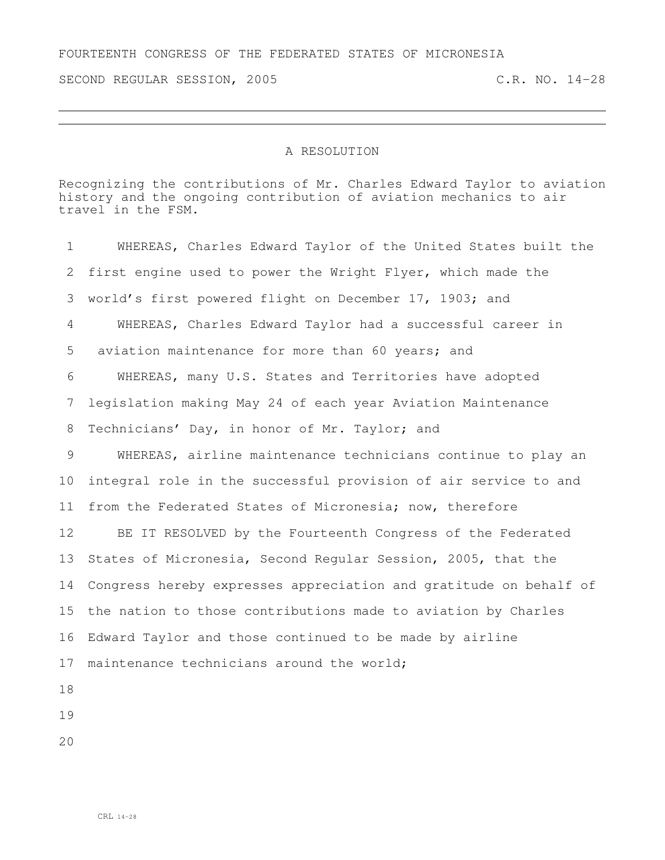## FOURTEENTH CONGRESS OF THE FEDERATED STATES OF MICRONESIA

SECOND REGULAR SESSION, 2005 C.R. NO. 14-28

## A RESOLUTION

Recognizing the contributions of Mr. Charles Edward Taylor to aviation history and the ongoing contribution of aviation mechanics to air travel in the FSM.

 WHEREAS, Charles Edward Taylor of the United States built the first engine used to power the Wright Flyer, which made the world's first powered flight on December 17, 1903; and WHEREAS, Charles Edward Taylor had a successful career in aviation maintenance for more than 60 years; and WHEREAS, many U.S. States and Territories have adopted legislation making May 24 of each year Aviation Maintenance Technicians' Day, in honor of Mr. Taylor; and WHEREAS, airline maintenance technicians continue to play an integral role in the successful provision of air service to and from the Federated States of Micronesia; now, therefore BE IT RESOLVED by the Fourteenth Congress of the Federated States of Micronesia, Second Regular Session, 2005, that the Congress hereby expresses appreciation and gratitude on behalf of the nation to those contributions made to aviation by Charles Edward Taylor and those continued to be made by airline 17 maintenance technicians around the world;